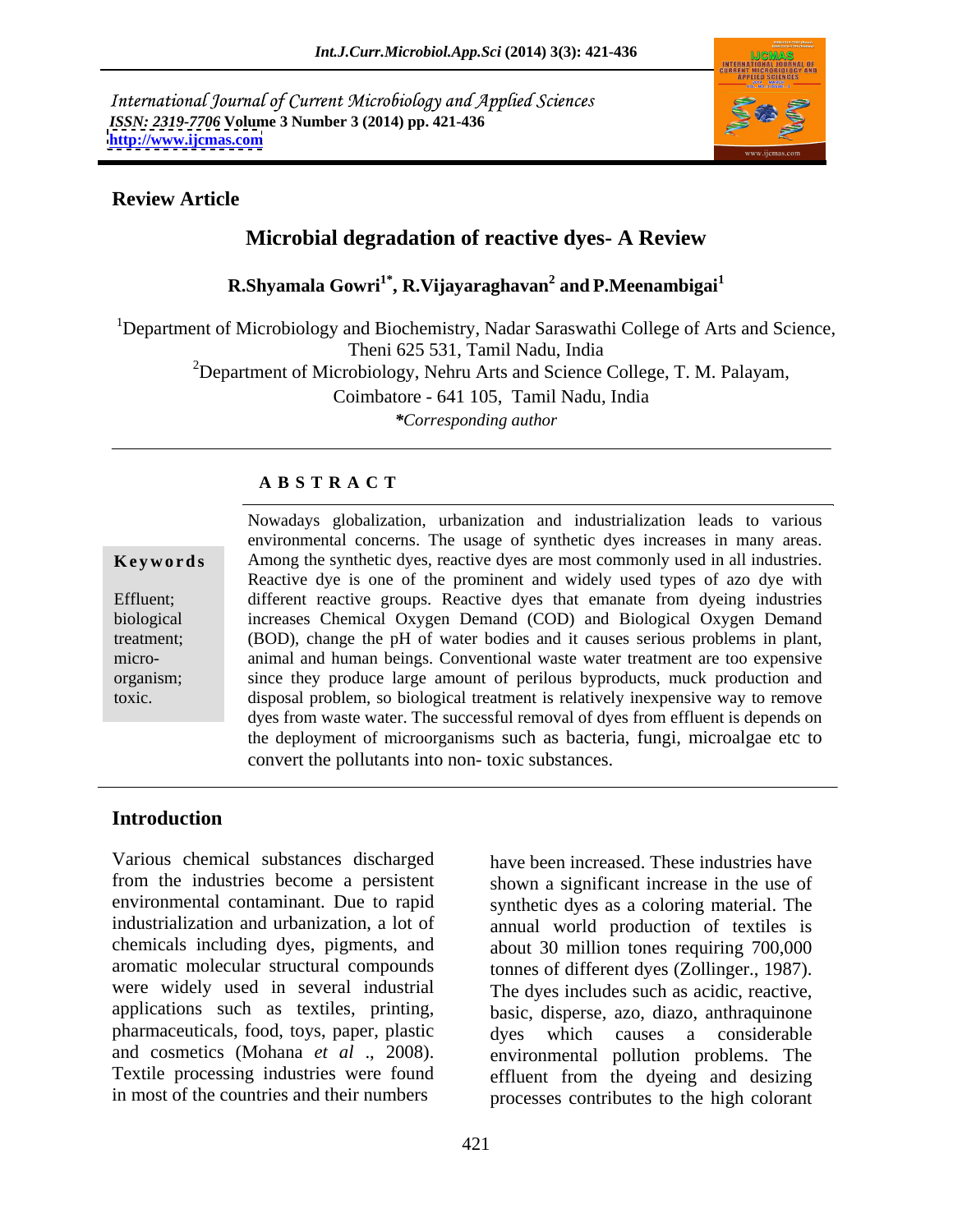International Journal of Current Microbiology and Applied Sciences *ISSN: 2319-7706* **Volume 3 Number 3 (2014) pp. 421-436 <http://www.ijcmas.com>**



#### **Review Article**

### **Microbial degradation of reactive dyes- A Review**

#### **R.Shyamala Gowri1\* , R.Vijayaraghavan<sup>2</sup> and P.Meenambigai<sup>1</sup>**

<sup>1</sup>Department of Microbiology and Biochemistry, Nadar Saraswathi College of Arts and Science, Theni 625 531, Tamil Nadu, India <sup>2</sup>Department of Microbiology, Nehru Arts and Science College, T. M. Palayam, Coimbatore - 641 105, Tamil Nadu, India *\*Corresponding author*

#### **A B S T R A C T**

**Keywords** Among the synthetic dyes, reactive dyes are most commonly used in all industries. Effluent; different reactive groups. Reactive dyes that emanate from dyeing industries biological increases Chemical Oxygen Demand (COD) and Biological Oxygen Demand treatment; (BOD), change the pH of water bodiesand it causes serious problems in plant, micro- animal and human beings. Conventional waste water treatment are too expensive organism; since they produce large amount of perilous byproducts, muck production and Nowadays globalization, urbanization and industrialization leads to various<br>
environmental concerns. The usage of synthetic dyes increases in many areas.<br>
Among the synthetic dyes, reactive dyes are most commonly used in a environmental concerns. The usage of synthetic dyes increases in many areas. Reactive dye is one of the prominent and widely used types of azo dye with disposal problem, so biological treatment is relatively inexpensive way to remove dyes from waste water. The successful removal of dyes from effluent is depends on the deployment of microorganisms such as bacteria, fungi, microalgae etc to convert the pollutants into non- toxic substances.

### **Introduction**

Various chemical substances discharged from the industries become a persistent environmental contaminant. Due to rapid synthetic dyes as a coloring material. The industrialization and urbanization, a lot of annual world production of textiles is chemicals including dyes, pigments, and aromatic molecular structural compounds tonnes of different dyes (Zollinger., 1987). were widely used in several industrial The dyes includes such as acidic, reactive, applications such as textiles, printing, basic, disperse, azo, diazo, anthraquinone pharmaceuticals, food, toys, paper, plastic and cosmetics (Mohana *et al* ., 2008). <br>Textile processing industries were found effluent from the dveing and desizing

in most of the countries and their numbers processes contributes to the high colorant have been increased. These industries have shown a significant increase in the use of about 30 million tones requiring 700,000 tonnes of different dyes (Zollinger., 1987). The dyes includes such as acidic, reactive, dyes which causes a considerable environmental pollution problems. The effluent from the dyeing and desizing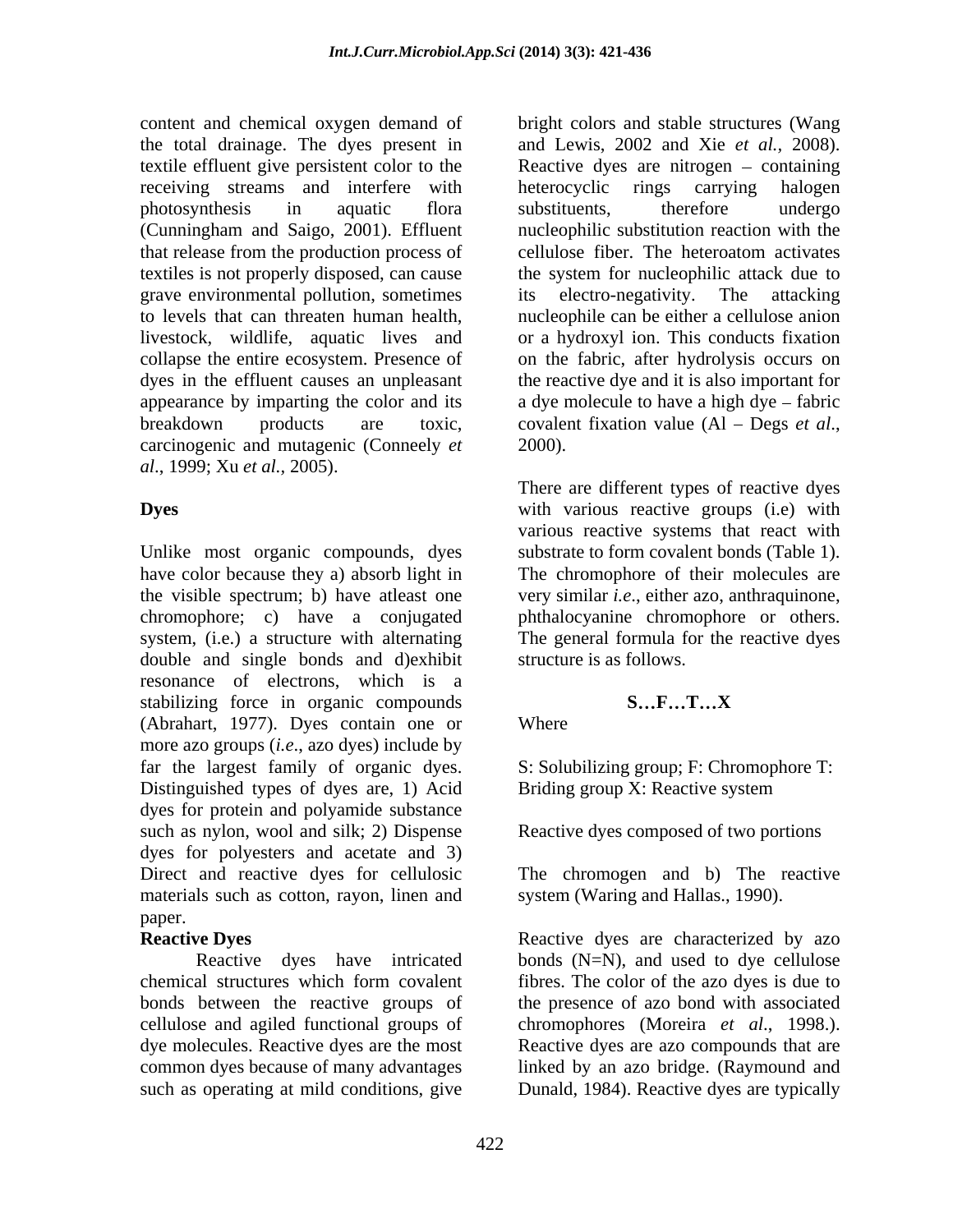content and chemical oxygen demand of bright colors and stable structures (Wang the total drainage. The dyes present in and Lewis, 2002 and Xie *et al.,* 2008). textile effluent give persistent color to the Reactive dyes are nitrogen – containing receiving streams and interfere with heterocyclic rings carrying halogen photosynthesis in aquatic flora (Cunningham and Saigo, 2001). Effluent that release from the production process of cellulose fiber. The heteroatom activates textiles is not properly disposed, can cause the system for nucleophilic attack due to grave environmental pollution, sometimes its electro-negativity. The attacking to levels that can threaten human health, nucleophile can be either a cellulose anion livestock, wildlife, aquatic lives and or a hydroxyl ion. This conducts fixation collapse the entire ecosystem. Presence of on the fabric, after hydrolysis occurs on dyes in the effluent causes an unpleasant the reactive dye and it is also important for appearance by imparting the color and its breakdown products are toxic, covalent fixation value (Al – Degs et al., carcinogenic and mutagenic (Conneely *et al*., 1999; Xu *et al.,* 2005).

Unlike most organic compounds, dyes have color because they a) absorb light in The chromophore of their molecules are the visible spectrum; b) have atleast one very similar *i.e*., either azo, anthraquinone, chromophore; c) have a conjugated phthalocyanine chromophore or others. system, (i.e.) a structure with alternating double and single bonds and d)exhibit resonance of electrons, which is a stabilizing force in organic compounds S...F...T...X (Abrahart, 1977). Dyes contain one or more azo groups (*i.e*., azo dyes) include by far the largest family of organic dyes. Distinguished types of dyes are, 1) Acid Briding group X: Reactive system dyes for protein and polyamide substance such as nylon, wool and silk; 2) Dispense dyes for polyesters and acetate and 3) Direct and reactive dyes for cellulosic The chromogen and b) The reactive materials such as cotton, rayon, linen and paper.

bonds between the reactive groups of

heterocyclic rings carrying halogen substituents, therefore undergo nucleophilic substitution reaction with the its electro-negativity. The attacking a dye molecule to have a high dye  $-$  fabric covalent fixation value (Al – Degs *et al.*, 2000).

**Dyes** with various reactive groups (i.e) with There are different types of reactive dyes various reactive systems that react with substrate to form covalent bonds (Table 1). The general formula for the reactive dyes structure is as follows.

### **S**  $\ldots$ **F**  $\ldots$ **T**  $\ldots$ **X**

Where we have a set of the set of the set of the set of the set of the set of the set of the set of the set of the set of the set of the set of the set of the set of the set of the set of the set of the set of the set of t

S: Solubilizing group; F: Chromophore T: Briding group X: Reactive system

Reactive dyes composed of two portions

system (Waring and Hallas., 1990).

**Reactive Dyes** Reactive dyes are characterized by a zo Reactive dyes have intricated bonds (N=N), and used to dye cellulose chemical structures which form covalent cellulose and agiled functional groups of chromophores (Moreira *et al*., 1998.). dye molecules. Reactive dyes are the most Reactive dyes are azo compounds that are common dyes because of many advantages linked by an azo bridge. (Raymound and such as operating at mild conditions, give Dunald, 1984). Reactive dyes are typicallyfibres. The color of the azo dyes is due to the presence of azo bond with associated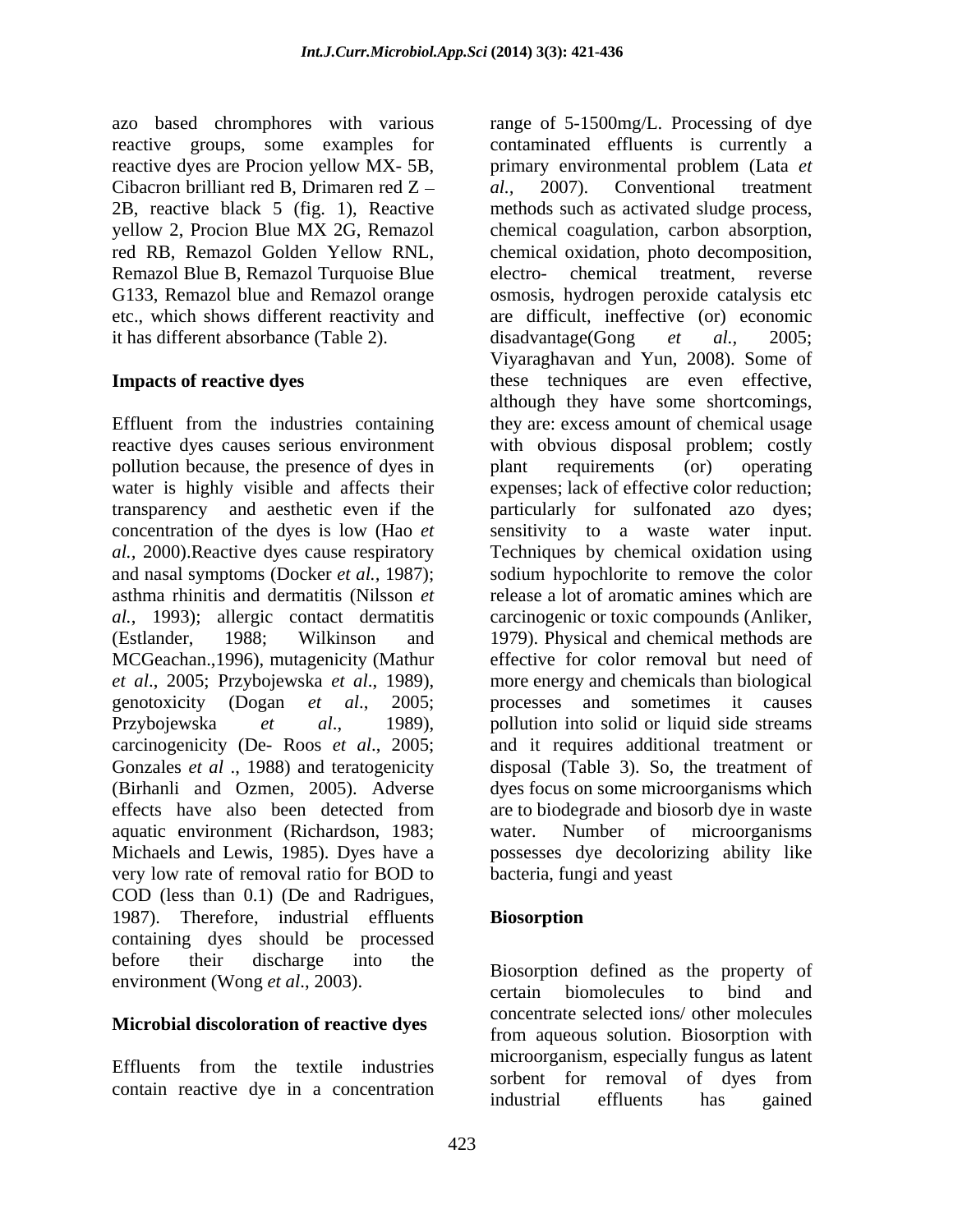azo based chromphores with various reactive dyes are Procion yellow MX-5B, primary environmental problem (Lata et Cibacron brilliant red B, Drimaren red  $Z - a l$ , 2007). Conventional treatment etc., which shows different reactivity and it has different absorbance (Table 2). disadvantage (Gong *et al.*, 2005;

Effluent from the industries containing pollution because, the presence of dyes in plant requirements (or) operating asthma rhinitis and dermatitis (Nilsson *et*  MCGeachan.,1996), mutagenicity (Mathur aquatic environment (Richardson, 1983; very low rate of removal ratio for BOD to COD (less than 0.1) (De and Radrigues, 1987). Therefore, industrial effluents **Biosorption** containing dyes should be processed before their discharge into the processmic defined as the preparty of

#### **Microbial discoloration of reactive dyes**

reactive groups, some examples for contaminated effluents is currently a 2B, reactive black 5 (fig. 1), Reactive methods such as activated sludge process, yellow 2, Procion Blue MX 2G, Remazol chemical coagulation, carbon absorption, red RB, Remazol Golden Yellow RNL, chemical oxidation, photo decomposition, Remazol Blue B, Remazol Turquoise Blue electro- chemical treatment, reverse G133, Remazol blue and Remazol orange osmosis, hydrogen peroxide catalysis etc **Impacts of reactive dyes** these techniques are even effective, reactive dyes causes serious environment with obvious disposal problem; costly water is highly visible and affects their expenses; lack of effective color reduction; transparency and aesthetic even if the particularly for sulfonated azo dyes; concentration of the dyes is low (Hao *et*  sensitivity to a waste water input. *al.,* 2000).Reactive dyes cause respiratory Techniques by chemical oxidation using and nasal symptoms (Docker *et al.,* 1987); sodium hypochlorite to remove the color *al.*, 1993); allergic contact dermatitis carcinogenic or toxic compounds (Anliker, (Estlander, 1988; Wilkinson and 1979). Physical and chemical methods are *et al.*, 2005; Przybojewska *et al.*, 1989), more energy and chemicals than biological genotoxicity (Dogan *et al.*, 2005; processes and sometimes it causes Przybojewska *et al*., 1989), pollution into solid or liquid side streams carcinogenicity (De- Roos *et al*., 2005; and it requires additional treatment or Gonzales *et al* ., 1988) and teratogenicity disposal (Table 3). So, the treatment of (Birhanli and Ozmen, 2005). Adverse dyes focus on some microorganisms which effects have also been detected from are to biodegrade and biosorb dye in waste Michaels and Lewis, 1985). Dyes have a possesses dye decolorizing ability like range of 5-1500mg/L. Processing of dye primary environmental problem (Lata *et al.,* 2007). Conventional treatment chemical oxidation, photo decomposition, electro- chemical treatment, reverse are difficult, ineffective (or) economic disadvantage(Gong Viyaraghavan and Yun, 2008). Some of although they have some shortcomings, they are: excess amount of chemical usage plant requirements (or) operating release a lot of aromatic amines which are effective for color removal but need of more energy and chemicals than biological processes and sometimes it causes are to biodegrade and biosorb dye in waste water. Number of microorganisms bacteria, fungi and yeast

### **Biosorption**

environment (Wong *et al.*, 2003). Thosof phone defined as the property of errain biomolecules to bind and Effluents from the textile industries method gams the expectancy ranges as factor Effluents from the textile mutsules<br>contain reactive dye in a concentration<br>industrial effluents has gained Biosorption defined as the property of certain biomolecules to bind and concentrate selected ions/ other molecules from aqueous solution. Biosorption with microorganism, especially fungus as latent sorbent for removal of dyes from industrial effluents has gained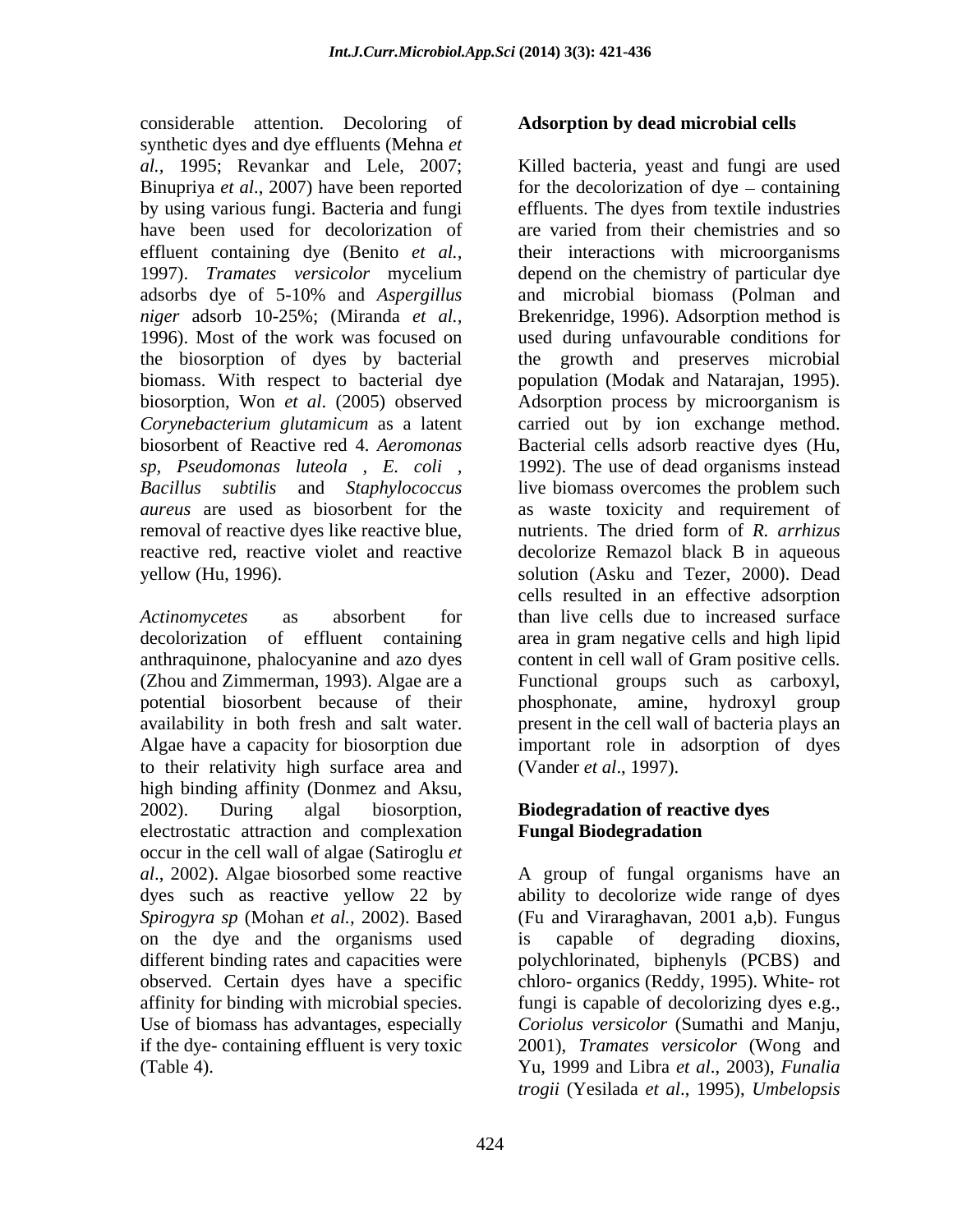considerable attention. Decoloring of synthetic dyes and dye effluents (Mehna *et*  have been used for decolorization of biosorbent of Reactive red 4. *Aeromonas sp, Pseudomonas luteola , E. coli ,* removal of reactive dyes like reactive blue,

anthraquinone, phalocyanine and azo dyes potential biosorbent because of their to their relativity high surface area and high binding affinity (Donmez and Aksu, 2002). During algal biosorption, **Biodegradation of reactive dyes** electrostatic attraction and complexation **Fungal Biodegradation** occur in the cell wall of algae (Satiroglu *et al*., 2002). Algae biosorbed some reactive A group of fungal organisms have an dyes such as reactive yellow 22 by *Spirogyra sp* (Mohan *et al.,* 2002). Based (Fu and Viraraghavan, 2001 a,b). Fungus on the dye and the organisms used is capable of degrading dioxins, different binding rates and capacities were polychlorinated, biphenyls (PCBS) and observed. Certain dyes have a specific chloro- organics (Reddy, 1995). White- rot affinity for binding with microbial species. fungi is capable of decolorizing dyes e.g., Use of biomass has advantages, especially *Coriolus versicolor* (Sumathi and Manju, if the dye- containing effluent is very toxic 2001), *Tramates versicolor* (Wong and

#### **Adsorption by dead microbial cells**

*al.,* 1995; Revankar and Lele, 2007; Killed bacteria, yeast and fungi are used Binupriya *et al.*, 2007) have been reported for the decolorization of dye – containing by using various fungi. Bacteria and fungi effluents. The dyes from textile industries effluent containing dye (Benito *et al.,* their interactions with microorganisms 1997). *Tramates versicolor* mycelium depend on the chemistry of particular dye adsorbs dye of 5-10% and *Aspergillus niger* adsorb 10-25%; (Miranda *et al.,* Brekenridge, 1996). Adsorption method is 1996). Most of the work was focused on used during unfavourable conditions for the biosorption of dyes by bacterial the growth and preserves microbial biomass. With respect to bacterial dye population (Modak and Natarajan, 1995). biosorption, Won *et al*. (2005) observed Adsorption process by microorganism is *Corynebacterium glutamicum* as a latent carried out by ion exchange method. *Bacillus subtilis* and *Staphylococcus* live biomass overcomes the problem such *aureus* are used as biosorbent for the as waste toxicity and requirement of reactive red, reactive violet and reactive decolorize Remazol black B in aqueous yellow (Hu, 1996). solution (Asku and Tezer, 2000). Dead *Actinomycetes* as absorbent for than live cells due to increased surface decolorization of effluent containing area in gram negative cells and high lipid (Zhou and Zimmerman, 1993). Algae are a Functional groups such as carboxyl, availability in both fresh and salt water. present in the cell wall of bacteria plays an Algae have a capacity for biosorption due important role in adsorption of dyes are varied from their chemistries and so and microbial biomass (Polman and Bacterial cells adsorb reactive dyes (Hu, 1992). The use of dead organisms instead nutrients. The dried form of *R. arrhizus* cells resulted in an effective adsorption content in cell wall of Gram positive cells. phosphonate, amine, hydroxyl group (Vander *et al*., 1997).

# **Fungal Biodegradation**

(Table 4). Yu, 1999 and Libra *et al*., 2003), *Funalia*  ability to decolorize wide range of dyes is capable of degrading dioxins, *trogii* (Yesilada *et al*., 1995), *Umbelopsis*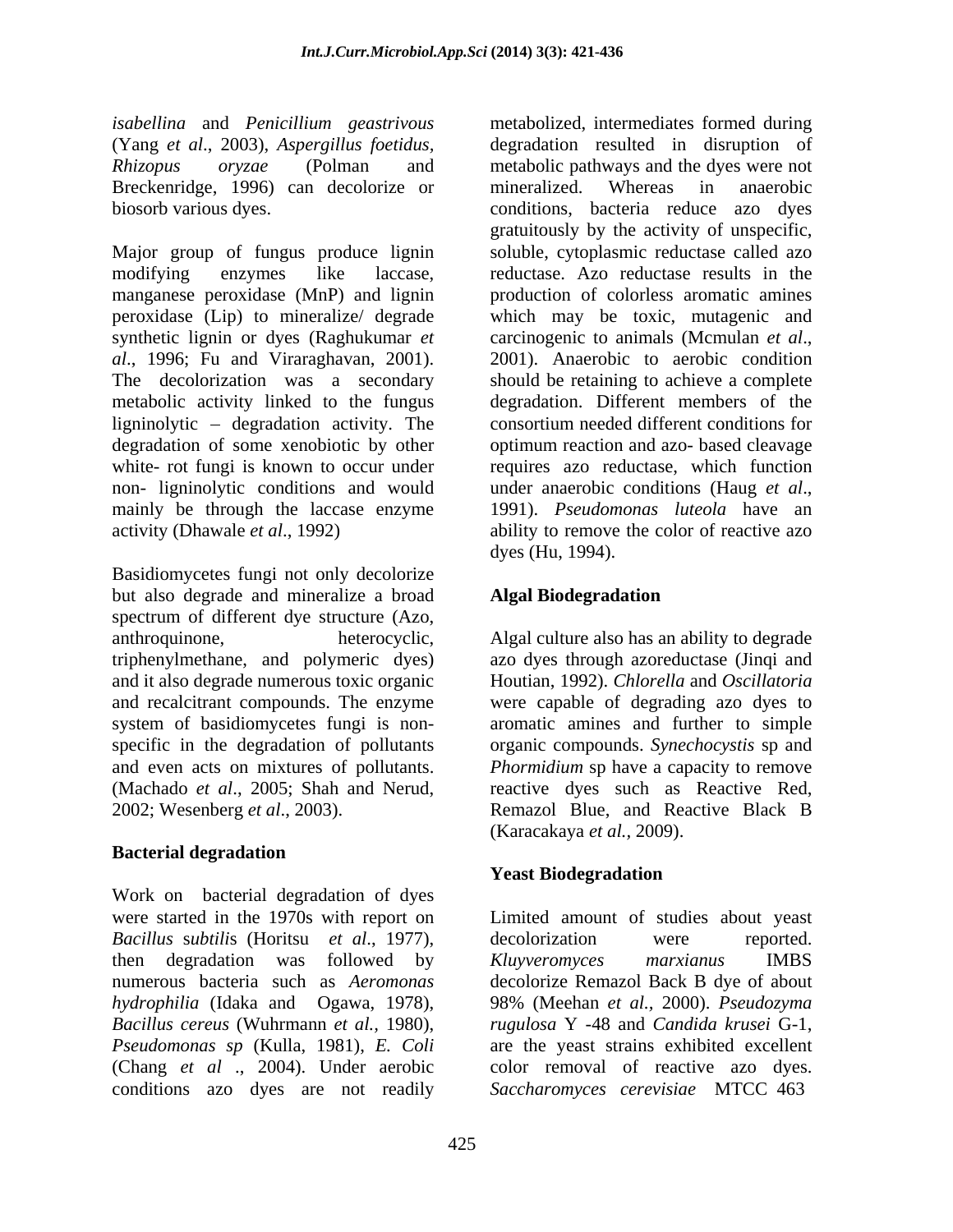*isabellina* and *Penicillium geastrivous* (Yang *et al*., 2003),*Aspergillus foetidus,* Breckenridge, 1996) can decolorize or mineralized. Whereas in anaerobic

Major group of fungus produce lignin soluble, cytoplasmic reductase called azo modifying enzymes like laccase, reductase. Azo reductase results in the manganese peroxidase (MnP) and lignin<br>peroxidase (Lip) to mineralize/ degrade peroxidase (Lip) to mineralize/ degrade which may be toxic, mutagenic and synthetic lignin or dyes (Raghukumar *et* carcinogenic to animals (Mcmulan *et al.*, *al*., 1996; Fu and Viraraghavan, 2001). The decolorization was a secondary should be retaining to achieve a complete metabolic activity linked to the fungus degradation. Different members of the ligninolytic – degradation activity. The consortium needed different conditions for degradation of some xenobiotic by other optimum reaction and azo- based cleavage white- rot fungi is known to occur under non- ligninolytic conditions and would under anaerobic conditions (Haug et al., mainly be through the laccase enzyme 1991). *Pseudomonas luteola* have an activity (Dhawale *et al*., 1992) ability to remove the color of reactive azo

Basidiomycetes fungi not only decolorize but also degrade and mineralize a broad Algal Biodegradation spectrum of different dye structure (Azo, anthroquinone, heterocyclic, Algal culture also has an ability to degrade triphenylmethane, and polymeric dyes) and it also degrade numerous toxic organic Houtian, 1992). *Chlorella* and *Oscillatoria* and recalcitrant compounds. The enzyme were capable of degrading azo dyes to system of basidiomycetes fungi is non- aromatic amines and further to simple specific in the degradation of pollutants organic compounds. *Synechocystis* sp and and even acts on mixtures of pollutants. *Phormidium* sp have a capacity to remove (Machado *et al*., 2005; Shah and Nerud, reactive dyes such as Reactive Red,

### **Bacterial degradation**

Work on bacterial degradation of dyes were started in the 1970s with report on Limited amount of studies about yeast *Bacillus* s*ubtili*s (Horitsu *et al*., 1977), then degradation was followed by *Kluveromyces marxianus* IMBS numerous bacteria such as *Aeromonas*  decolorize Remazol Back B dye of about *hydrophilia* (Idaka and Ogawa, 1978), *Bacillus cereus* (Wuhrmann *et al.,* 1980), *Pseudomonas sp* (Kulla, 1981), *E. Coli* (Chang *et al* ., 2004). Under aerobic conditions azo dyes are not readily

*Rhizopus oryzae* (Polman and metabolic pathways and the dyes were not biosorb various dyes. conditions, bacteria reduce azo dyes metabolized, intermediates formed during degradation resulted in disruption of mineralized. Whereas in anaerobic gratuitously by the activity of unspecific, production of colorless aromatic amines carcinogenic to animals (Mcmulan *et al*., 2001). Anaerobic to aerobic condition consortium needed different conditions for requires azo reductase, which function under anaerobic conditions (Haug *et al*., 1991). *Pseudomonas luteola* have an dyes (Hu, 1994).

### **Algal Biodegradation**

2002; Wesenberg *et al*., 2003). Remazol Blue, and Reactive Black B azo dyes through azoreductase (Jinqi and (Karacakaya *et al.,* 2009).

### **Yeast Biodegradation**

decolorization were reported. *Kluyveromyces marxianus* IMBS 98% (Meehan *et al.,* 2000). *Pseudozyma rugulosa* Y -48 and *Candida krusei* G-1, are the yeast strains exhibited excellent color removal of reactive azo dyes. *Saccharomyces cerevisiae* MTCC 463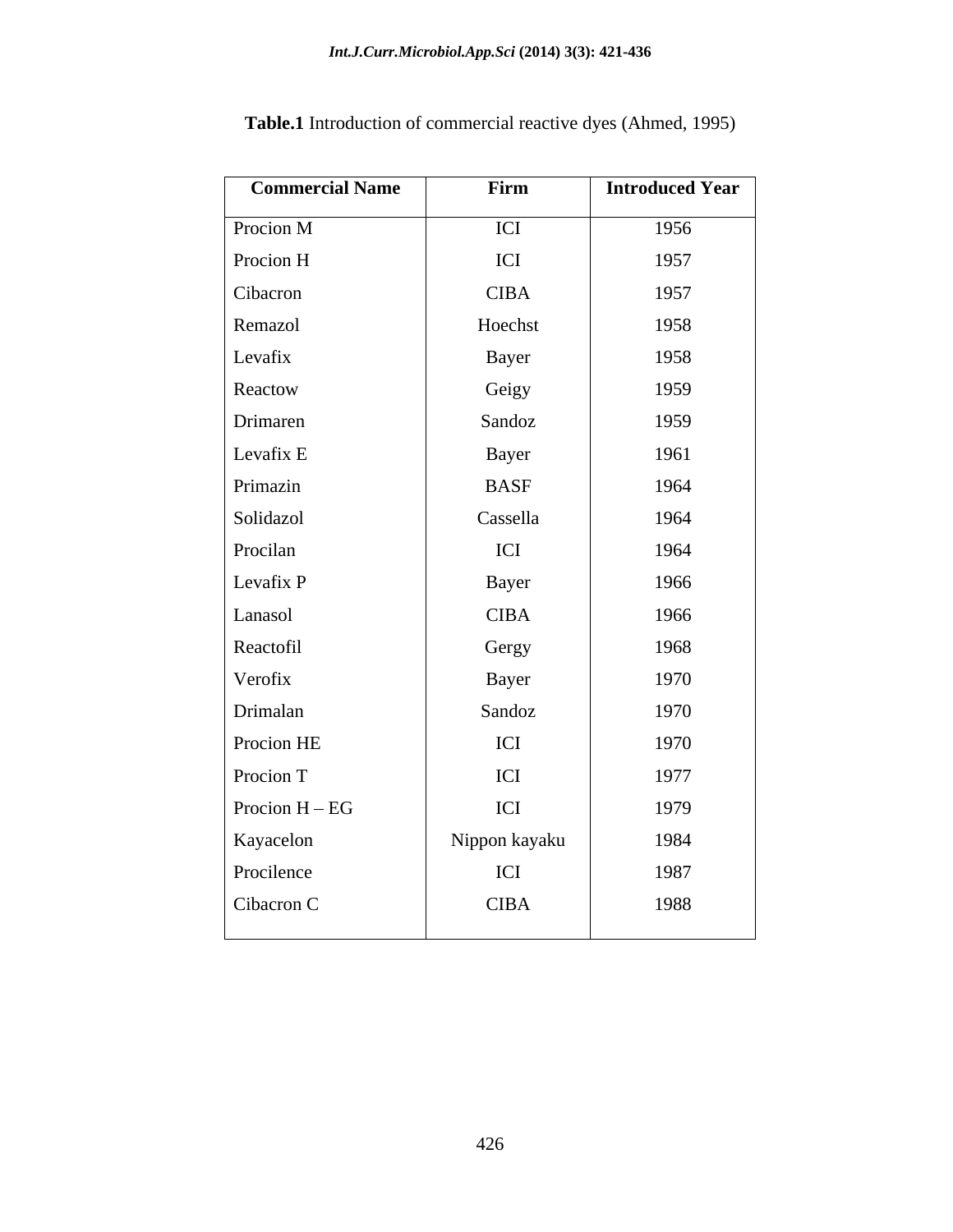| <b>Commercial Name</b> | Firm          | <b>Introduced Year</b> |
|------------------------|---------------|------------------------|
| Procion M              | ICI           | 1956                   |
| Procion H              | ICI           | 1957                   |
| Cibacron               | <b>CIBA</b>   | 1957                   |
| Remazol                | Hoechst       | 1958                   |
| Levafix                | Bayer         | 1958                   |
| Reactow                | Geigy         | 1959                   |
| Drimaren               | Sandoz        | 1959                   |
| Levafix ${\bf E}$      | Bayer         | 1961                   |
| Primazin               | <b>BASF</b>   | 1964                   |
| Solidazol              | Cassella      | 1964                   |
| Procilan               | ICI           | 1964                   |
| Levafix P              | Bayer         | 1966                   |
| Lanasol                | <b>CIBA</b>   | 1966                   |
| Reactofil              | Gergy         | 1968                   |
| Verofix                | Bayer         | 1970                   |
| Drimalan               | Sandoz        | 1970                   |
| Procion HE             | ICI           | 1970                   |
| Procion T              | ICI           | 1977                   |
| Procion $H - EG$       | ICI           | 1979                   |
| Kayacelon              | Nippon kayaku | 1984                   |
| Procilence             | ICI           | 1987                   |
| Cibacron C             | <b>CIBA</b>   | 1988                   |
|                        |               |                        |

**Table.1** Introduction of commercial reactive dyes (Ahmed, 1995)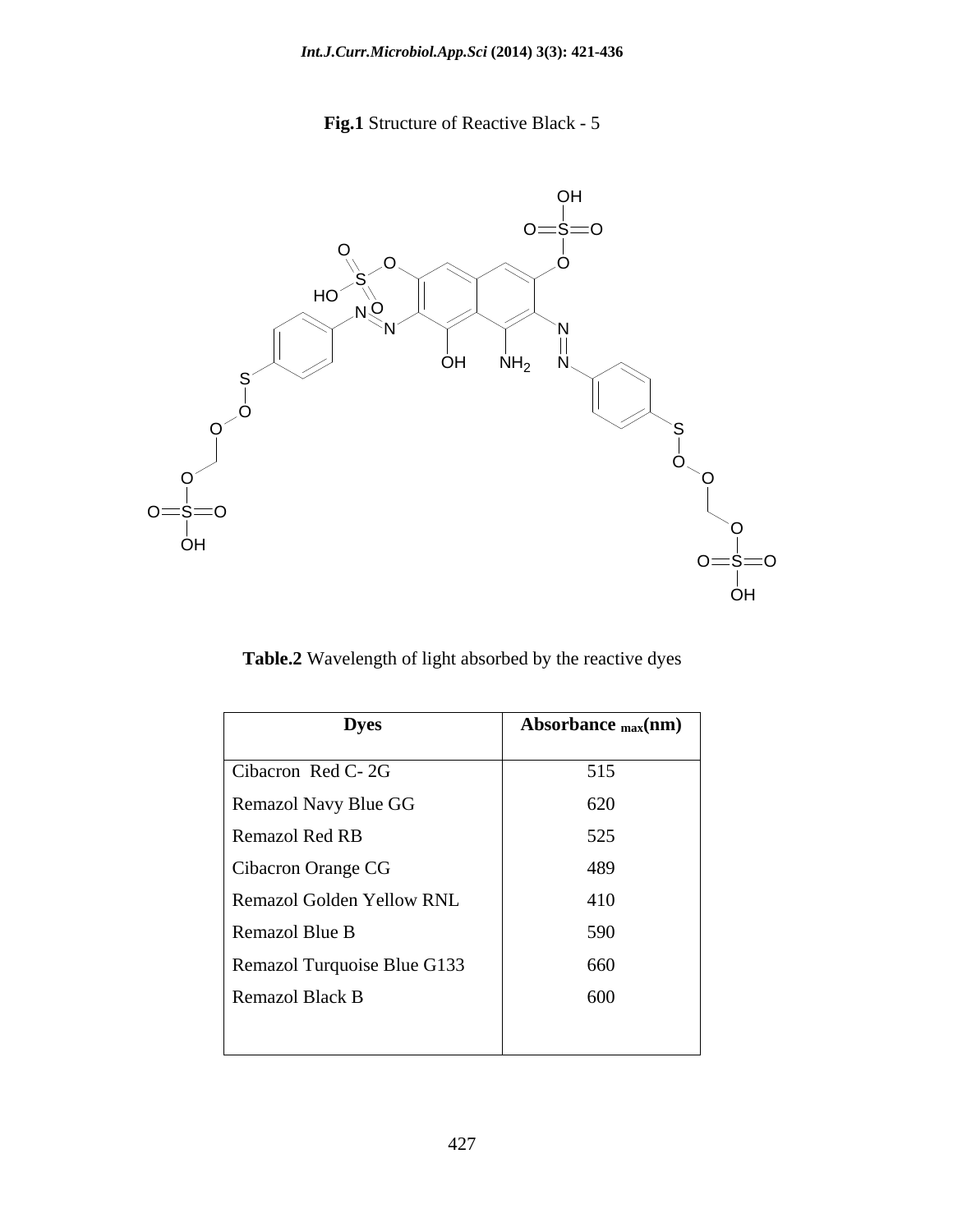**Fig.1** Structure of Reactive Black - 5



**Table.2** Wavelength of light absorbed by the reactive dyes

| <b>Dyes</b>                 | Absorbance $_{max}(nm)$ |
|-----------------------------|-------------------------|
| Cibacron Red C-2G           | 515                     |
| Remazol Navy Blue GG        | 620                     |
| Remazol Red RB              | 525                     |
| Cibacron Orange CG          | 489                     |
| Remazol Golden Yellow RNL   | 410                     |
| Remazol Blue B              | 590                     |
| Remazol Turquoise Blue G133 | 660                     |
| Remazol Black B             | 600                     |
|                             |                         |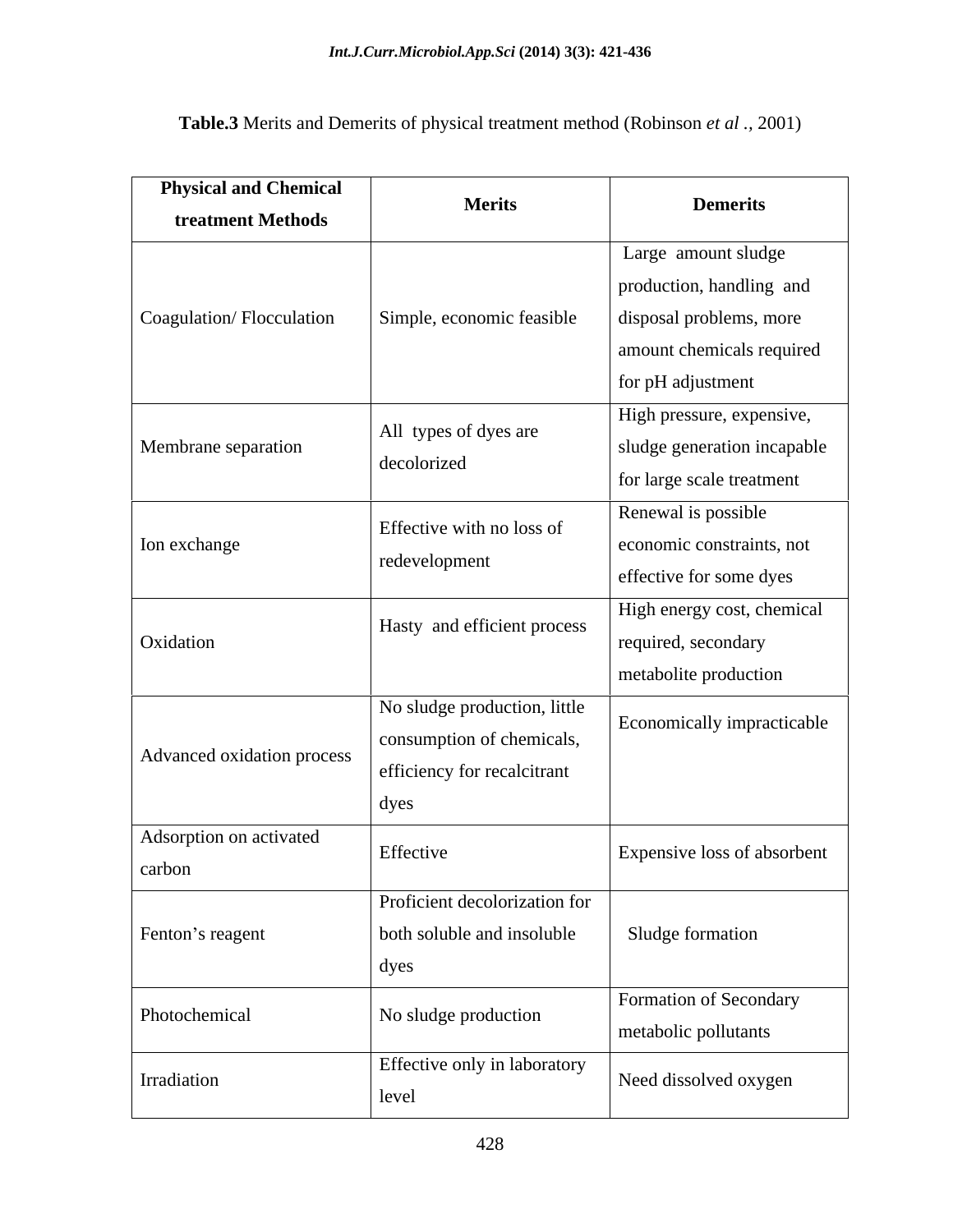| <b>Physical and Chemical</b> | <b>Merits</b>                 |                             |  |
|------------------------------|-------------------------------|-----------------------------|--|
| treatment Methods            |                               | <b>Demerits</b>             |  |
|                              |                               | Large amount sludge         |  |
|                              |                               | production, handling and    |  |
| Coagulation/Flocculation     | Simple, economic feasible     | disposal problems, more     |  |
|                              |                               | amount chemicals required   |  |
|                              |                               | for pH adjustment           |  |
|                              |                               | High pressure, expensive,   |  |
| Membrane separation          | All types of dyes are         | sludge generation incapable |  |
|                              | decolorized                   | for large scale treatment   |  |
|                              |                               | Renewal is possible         |  |
| Ion exchange                 | Effective with no loss of     | economic constraints, not   |  |
|                              | redevelopment                 | effective for some dyes     |  |
|                              |                               | High energy cost, chemical  |  |
| Oxidation                    | Hasty and efficient process   | required, secondary         |  |
|                              |                               | metabolite production       |  |
|                              | No sludge production, little  |                             |  |
|                              | consumption of chemicals,     | Economically impracticable  |  |
| Advanced oxidation process   | efficiency for recalcitrant   |                             |  |
|                              | dyes                          |                             |  |
| Adsorption on activated      |                               |                             |  |
| carbon                       | Effective                     | Expensive loss of absorbent |  |
|                              | Proficient decolorization for |                             |  |
| Fenton's reagent             | both soluble and insoluble    | Sludge formation            |  |
|                              | dyes                          |                             |  |
|                              |                               | Formation of Secondary      |  |
| Photochemical                | No sludge production          | metabolic pollutants        |  |
|                              | Effective only in laboratory  |                             |  |
| Irradiation                  | level                         | Need dissolved oxygen       |  |
|                              |                               |                             |  |

**Table.3** Merits and Demerits of physical treatment method (Robinson *et al .,* 2001)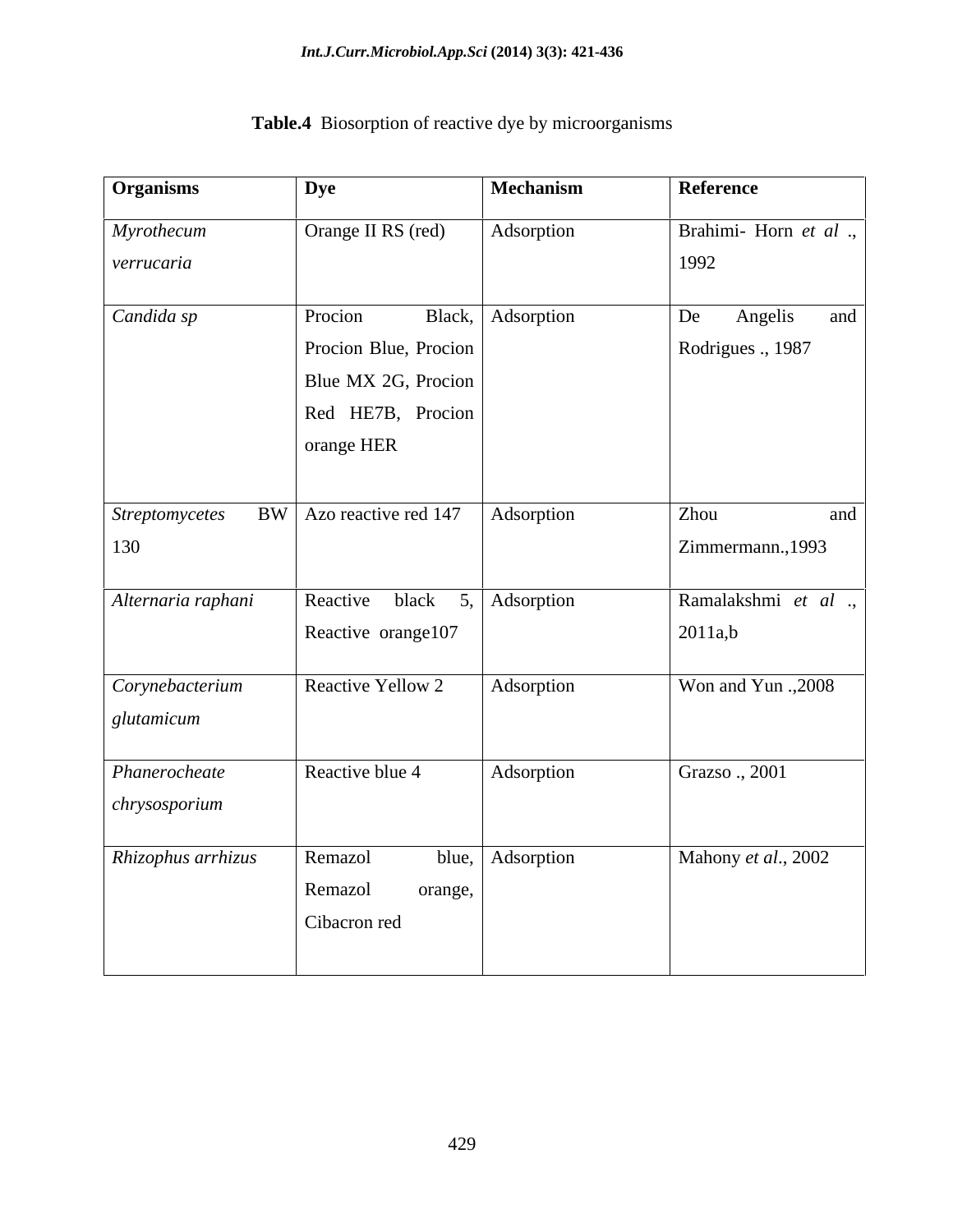| <b>Organisms</b>                       | <b>Dye</b>                   | Mechanism         | Reference                         |
|----------------------------------------|------------------------------|-------------------|-----------------------------------|
| Myrothecum                             | Orange II RS (red)           | Adsorption        | Brahimi-Horn et al.,              |
| verrucaria                             |                              |                   | 1992                              |
| Candida sp                             | Procion                      | Black, Adsorption | $\sqrt{\text{De}}$ Angelis<br>and |
|                                        | Procion Blue, Procion        |                   | Rodrigues ., 1987                 |
|                                        | Blue MX 2G, Procion          |                   |                                   |
|                                        | Red HE7B, Procion            |                   |                                   |
|                                        | orange HER                   |                   |                                   |
|                                        |                              |                   |                                   |
| Streptomycetes BW Azo reactive red 147 |                              | Adsorption        | Zhou<br>and                       |
| 130                                    |                              |                   | Zimmermann., 1993                 |
| Alternaria raphani                     | Reactive black 5, Adsorption |                   | Ramalakshmi et al.                |
|                                        | Reactive orange107           |                   | 2011a,b                           |
| Corynebacterium                        | Reactive Yellow 2            | Adsorption        | Won and Yun ., 2008               |
| glutamicum                             |                              |                   |                                   |
|                                        |                              |                   |                                   |
| Phanerocheate                          | Reactive blue 4              | Adsorption        | Grazso ., 2001                    |
| chrysosporium                          |                              |                   |                                   |
| Rhizophus arrhizus                     | Remazol                      | blue, Adsorption  | Mahony et al., 2002               |
|                                        | Remazol<br>orange,           |                   |                                   |
|                                        | Cibacron red                 |                   |                                   |
|                                        |                              |                   |                                   |

## **Table.4** Biosorption of reactive dye by microorganisms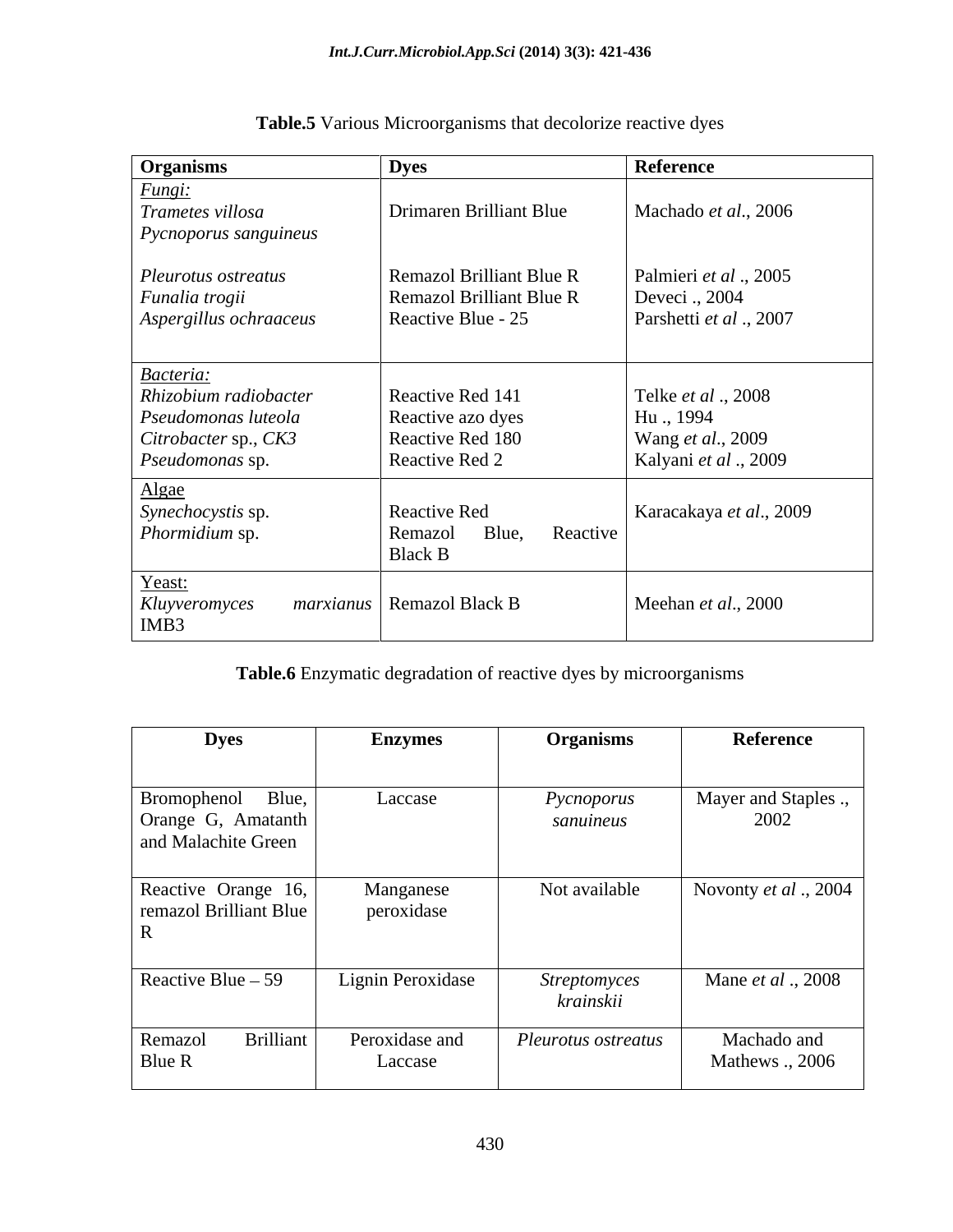| Organisms                                                                                            | <b>Dyes</b>                                                                              | Reference                                                                    |
|------------------------------------------------------------------------------------------------------|------------------------------------------------------------------------------------------|------------------------------------------------------------------------------|
| Fungi:<br>Trametes villosa<br>$\vert$ Pycnoporus sanguineus                                          | Drimaren Brilliant Blue                                                                  | Machado et al., 2006                                                         |
| Pleurotus ostreatus<br>Funalia trogii<br>Aspergillus ochraaceus                                      | <b>Remazol Brilliant Blue R</b><br><b>Remazol Brilliant Blue R</b><br>Reactive Blue - 25 | Palmieri et al., 2005<br>Deveci., 2004<br>Parshetti et al., 2007             |
| Bacteria:<br>Rhizobium radiobacter<br>Pseudomonas luteola<br>Citrobacter sp., CK3<br>Pseudomonas sp. | Reactive Red 141<br>Reactive azo dyes<br>Reactive Red 180<br>Reactive Red 2              | Telke et al., 2008<br>Hu., 1994<br>Wang et al., 2009<br>Kalyani et al., 2009 |
| Algae<br>Synechocystis sp.<br>Phormidium sp.                                                         | Reactive Red<br>Reactive<br>Blue,<br>Remazol<br><b>Black B</b>                           | Karacakaya et al., 2009                                                      |
| Yeast:<br>Kluyveromyces<br>IMB3                                                                      | <i>marxianus</i>   Remazol Black B                                                       | Meehan et al., 2000                                                          |

## **Table.5** Various Microorganisms that decolorize reactive dyes

**Table.6** Enzymatic degradation of reactive dyes by microorganisms

| <b>Dyes</b>                                                    | <b>Enzymes</b>            | <b>Organisms</b>                 | Reference                      |
|----------------------------------------------------------------|---------------------------|----------------------------------|--------------------------------|
| Bromophenol Blue,<br>Orange G, Amatanth<br>and Malachite Green | Laccase                   | Pycnoporus<br>sanuineus          | Mayer and Staples .,<br>2002   |
| Reactive Orange 16,<br>remazol Brilliant Blue<br>$\mathbf{R}$  | Manganese<br>peroxidase   | Not available                    | Novonty et al., $2004$         |
| Reactive Blue $-59$                                            | Lignin Peroxidase         | <b>Streptomyces</b><br>krainskii | Mane et al., 2008              |
| <b>Brilliant</b><br>Remazol<br>Blue R                          | Peroxidase and<br>Laccase | Pleurotus ostreatus              | Machado and<br>Mathews ., 2006 |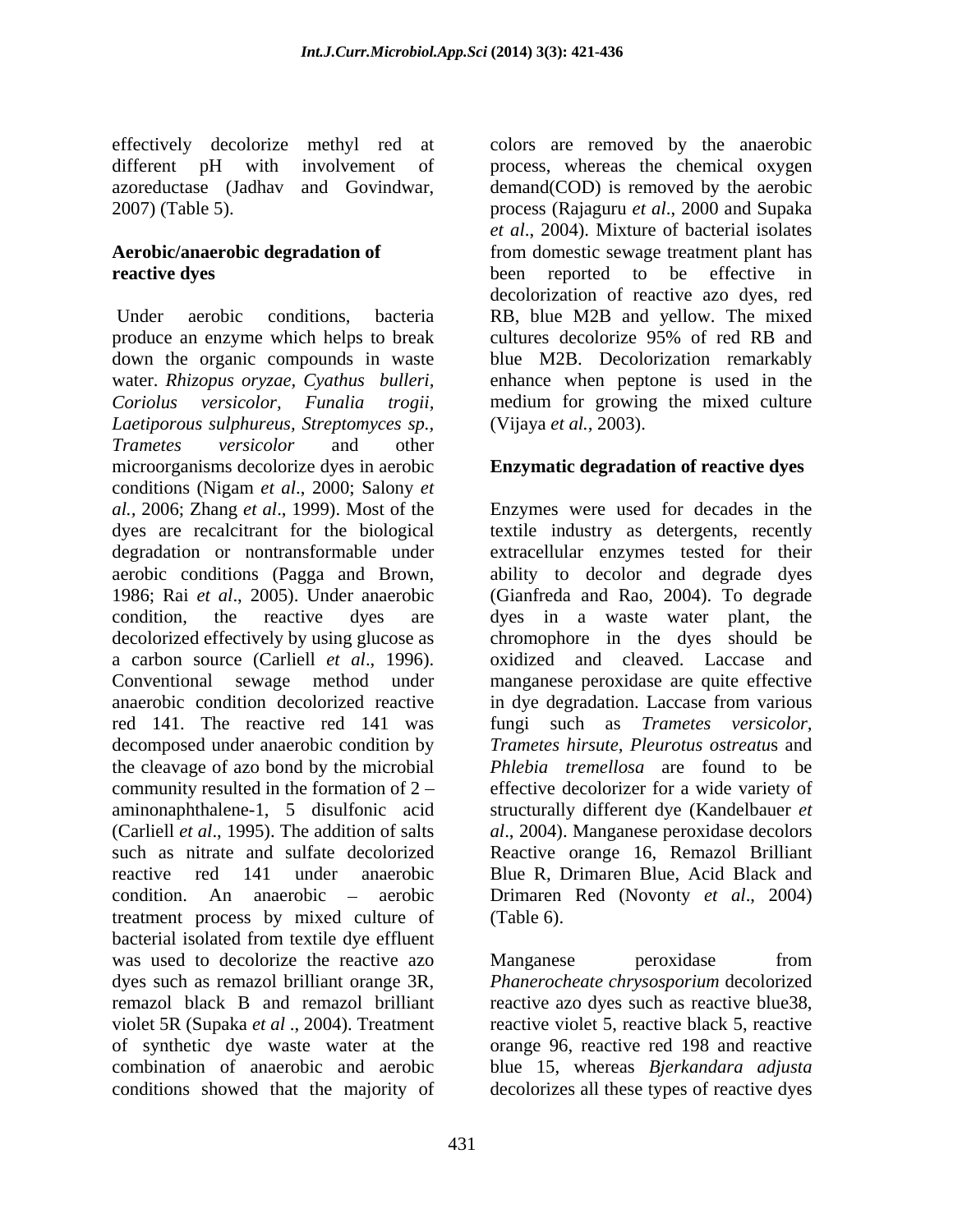produce an enzyme which helps to break cultures decolorize 95% of red RB and down the organic compounds in waste water. *Rhizopus oryzae, Cyathus bulleri,* enhance when peptone is used in the *Coriolus versicolor, Funalia trogii,* medium for growing the mixed culture *Laetiporous sulphureus, Streptomyces sp., Trametes versicolor* and other microorganisms decolorize dyes in aerobic conditions (Nigam *et al*., 2000; Salony *et al.,* 2006; Zhang *et al*., 1999). Most of the Enzymes were used for decades in the dyes are recalcitrant for the biological textile industry as detergents, recently degradation or nontransformable under extracellular enzymes tested for their aerobic conditions (Pagga and Brown, ability to decolor and degrade dyes 1986; Rai *et al*.,2005).Under anaerobic (Gianfreda and Rao, 2004). To degrade condition, the reactive dyes are dyes in a waste water plant, the decolorized effectively by using glucose as chromophore in the dyes should be a carbon source (Carliell *et al*., 1996). Conventional sewage method under manganese peroxidase are quite effective anaerobic condition decolorized reactive red 141. The reactive red 141 was fungi such as *Trametes versicolor,* decomposed under anaerobic condition by the cleavage of azo bond by the microbial community resulted in the formation of 2 effective decolorizer for a wide variety of aminonaphthalene-1, 5 disulfonic acid structurally different dye (Kandelbauer *et*  (Carliell *et al*., 1995). The addition of salts *al*., 2004). Manganese peroxidase decolors such as nitrate and sulfate decolorized Reactive orange 16, Remazol Brilliant reactive red 141 under anaerobic Blue R, Drimaren Blue, Acid Black and condition. An anaerobic – aerobic Drimaren Red (Novonty *et al.*, 2004) treatment process by mixed culture of (Table 6). bacterial isolated from textile dye effluent was used to decolorize the reactive azo Manganese beroxidase from dyes such as remazol brilliant orange 3R, *Phanerocheate chrysosporium* decolorized remazol black B and remazol brilliant violet 5R (Supaka *et al* ., 2004). Treatment reactive violet 5, reactive black 5, reactive of synthetic dye waste water at the orange 96, reactive red 198 and reactive combination of anaerobic and aerobic blue 15, whereas *Bjerkandara adjusta* conditions showed that the majority of decolorizes all these types of reactive dyes

effectively decolorize methyl red at colors are removed by the anaerobic different pH with involvement of process, whereas the chemical oxygen azoreductase (Jadhav and Govindwar, demand(COD) is removed by the aerobic 2007) (Table 5). process (Rajaguru *et al*., 2000 and Supaka **Aerobic/anaerobic degradation of**  from domestic sewage treatment plant has **reactive dyes** been reported to be effective in Under aerobic conditions, bacteria RB, blue M2B and yellow. The mixed *et al*., 2004). Mixture of bacterial isolates decolorization of reactive azo dyes, red cultures decolorize 95% of red RB and blue M2B. Decolorization remarkably (Vijaya *et al.,* 2003).

#### **Enzymatic degradation of reactive dyes**

oxidized and cleaved. Laccase and in dye degradation. Laccase from various *Trametes hirsute, Pleurotus ostreatu*s and *Phlebia tremellosa* are found to be (Table 6).

Manganese peroxidase from reactive azo dyes such as reactive blue38,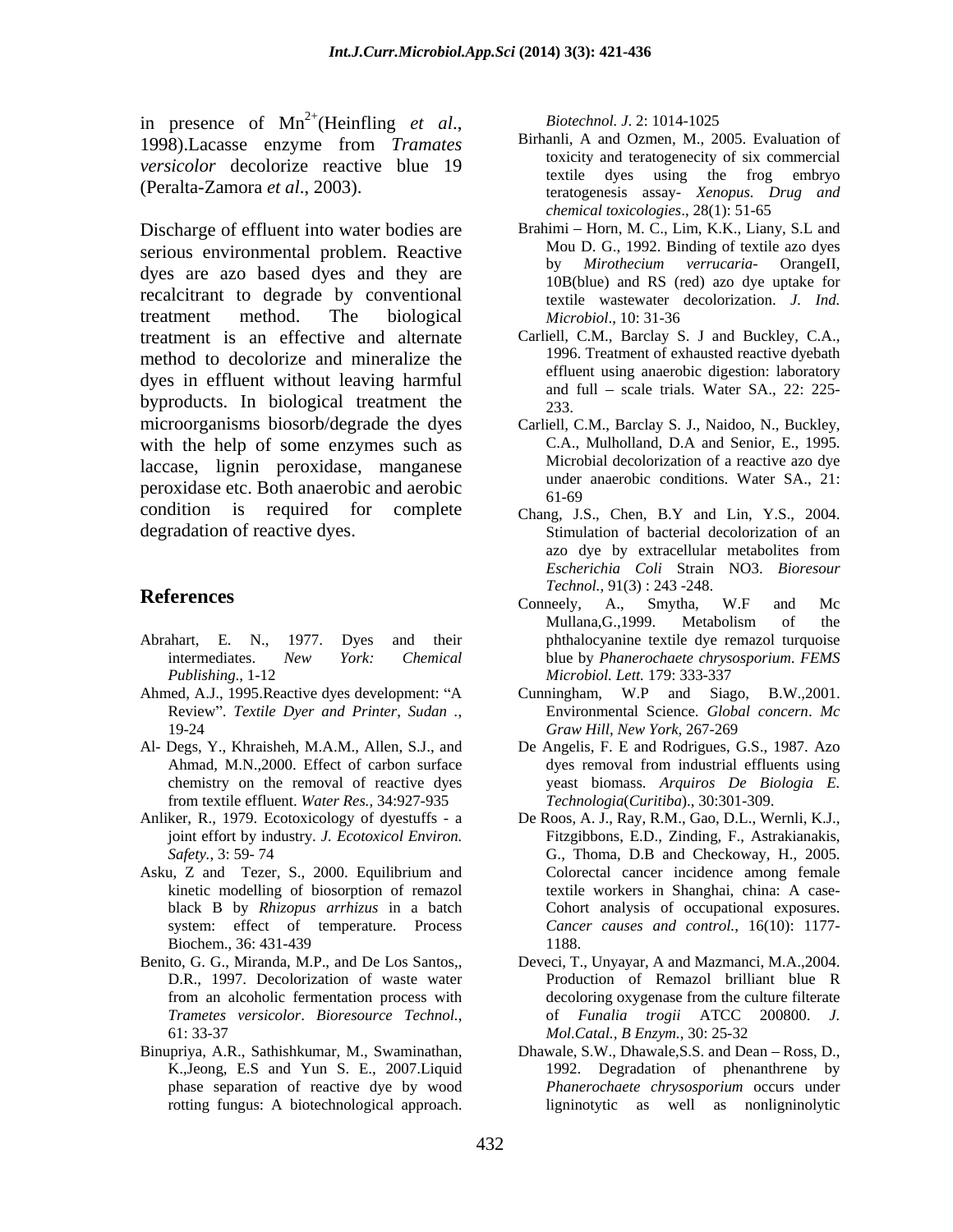in presence of  $Mn^{2+}$ (Heinfling et al., Biotechnol. J. 2: 1014-1025 in presence of Mn<sup>2+</sup>(Heinfling *et al.*, *Biotechnol. J.* 2: 1014-1025<br>1998).Lacasse enzyme from *Tramates* Birhanli, A and Ozmen, M., 2005. Evaluation of *versicolor* decolorize reactive blue 19

Discharge of effluent into water bodies are serious environmental problem. Reactive Mou D. G., 1992. Binding of textile azo dyes<br>by *Mirothecium verrucaria*- OrangeII, dyes are azo based dyes and they are recalcitrant to degrade by conventional treatment method. The biological *Microbiol.*, 10:31-36 treatment is an effective and alternate method to decolorize and mineralize the dyes in effluent without leaving harmful byproducts. In biological treatment the  $\frac{233}{233}$ microorganisms biosorb/degrade the dyes with the help of some enzymes such as laccase, lignin peroxidase, manganese peroxidase etc. Both anaerobic and aerobic  $\frac{\text{under}}{61-69}$ condition is required for complete Chang, J.S., Chen, B.Y and Lin, Y.S., 2004.

- *Publishing*., 1-12
- 
- from textile effluent. *Water Res.,* 34:927-935
- 
- Asku, Z and Tezer, S., 2000. Equilibrium and
- 
- 

*Biotechnol. J*. 2: 1014-1025

- (Peralta-Zamora *et al*., 2003). teratogenesis assay- *Xenopus. Drug and* Birhanli, A and Ozmen, M., 2005. Evaluation of toxicity and teratogenecity of six commercial textile dyes using the frog embryo *chemical toxicologies*., 28(1): 51-65
	- Brahimi Horn, M. C., Lim, K.K., Liany, S.L and Mou D. G., 1992. Binding of textile azo dyes by *Mirothecium verrucaria*- OrangeII, 10B(blue) and RS (red) azo dye uptake for textile wastewater decolorization. *J. Ind. Microbiol*., 10: 31-36
	- Carliell, C.M., Barclay S. J and Buckley, C.A., 1996. Treatment of exhausted reactive dyebath effluent using anaerobic digestion: laboratory and full  $-$  scale trials. Water SA., 22: 225-233.
	- Carliell, C.M., Barclay S. J., Naidoo, N., Buckley, C.A., Mulholland, D.A and Senior, E., 1995. Microbial decolorization of a reactive azo dye under anaerobic conditions. Water SA., 21: 61-69
- degradation of reactive dyes. Stimulation of bacterial decolorization of an azo dye by extracellular metabolites from *Escherichia Coli* Strain NO3. *Bioresour Technol.,* 91(3) : 243 -248.
- **References References References References References References References References References References References References References References References References References** Abrahart, E. N., 1977. Dyes and their phthalocyanine textile dye remazol turquoise intermediates. *New York: Chemical*  blue by *Phanerochaete chrysosporium*. *FEMS*  Conneely, A., Smytha, W.F and Mc Mullana,G.,1999. Metabolism of the *Microbiol. Lett.* 179: 333-337
- Ahmed, A.J., 1995. Reactive dyes development: "A Cunningham, W.P and Siago, B.W., 2001. Review". *Textile Dyer and Printer*, *Sudan* ., <br>19-24 *Graw Hill, New York, 267-269* Cunningham,  $W.P$  and Siago, Environmental Science. *Global concern*. *Mc Graw Hill, New York*, 267-269
- Al- Degs, Y., Khraisheh, M.A.M., Allen, S.J., and De Angelis, F. E and Rodrigues, G.S., 1987. Azo Ahmad, M.N., 2000. Effect of carbon surface dyes removal from industrial effluents using chemistry on the removal of reactive dyes yeast biomass. *Arquiros De Biologia E.* dyes removal from industrial effluents using *Technologia*(*Curitiba*)., 30:301-309.
- Anliker, R., 1979. Ecotoxicology of dyestuffs a De Roos, A. J., Ray, R.M., Gao, D.L., Wernli, K.J., joint effort by industry. *J. Ecotoxicol Environ.* Fitzgibbons, E.D., Zinding, F., Astrakianakis, *Safety.*, 3: 59- 74 G., Thoma, D.B and Checkoway, H., 2005. kinetic modelling of biosorption of remazol textile workers in Shanghai, china: A case black B by *Rhizopus arrhizus* in a batch Cohort analysis of occupational exposures. system: effect of temperature. Process *Cancer causes and control.*, 16(10): 1177- Biochem., 36: 431-439 Colorectal cancer incidence among female 1188.
- Benito, G. G., Miranda, M.P., and De Los Santos,, Deveci, T., Unyayar, A and Mazmanci, M.A.,2004. D.R., 1997. Decolorization of waste water Production of Remazol brilliant blue R from an alcoholic fermentation process with decoloring oxygenese from the culture filterate *Trametes versicolor*. *Bioresource Technol.*, 61: 33-37 decoloring oxygenase from the culture filterate of *Funalia trogii* ATCC 200800. *J. Mol.Catal., B Enzym.*, 30: 25-32
- Binupriya, A.R., Sathishkumar, M., Swaminathan, Dhawale, S.W., Dhawale, S.S. and Dean Ross, D., K.,Jeong, E.S and Yun S. E., 2007.Liquid 1992. Degradation of phenanthrene by phase separation of reactive dye by wood *Phanerochaete chrysosporium* occurs under rotting fungus: A biotechnological approach. ligninotytic as well as nonligninolytic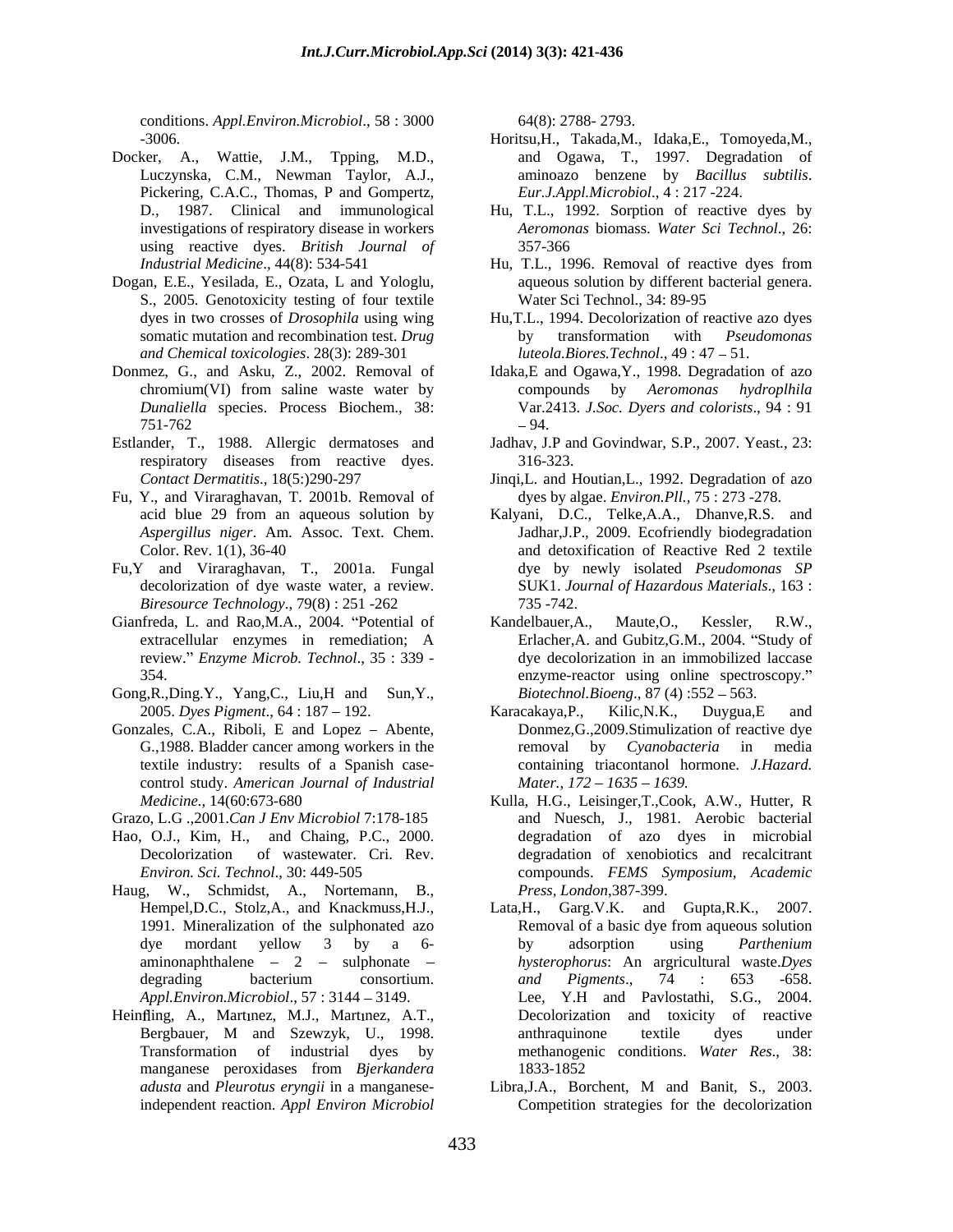conditions. *Appl.Environ.Microbiol*., 58 : 3000

- Docker, A., Wattie, J.M., Tpping, M.D., Pickering, C.A.C., Thomas, P and Gompertz, using reactive dyes. *British Journal of*
- Dogan, E.E., Yesilada, E., Ozata, L and Yologlu, S., 2005. Genotoxicity testing of four textile Water Sci Technol., 34: 89-95 *and Chemical toxicologies*. 28(3): 289-301
- Donmez, G., and Asku, Z., 2002. Removal of Idaka,E and Ogawa,Y., 1998. Degradation of azo
- Estlander, T., 1988. Allergic dermatoses and respiratory diseases from reactive dyes. 316-323.
- Fu, Y., and Viraraghavan, T. 2001b. Removal of
- Fu,Y and Viraraghavan, T., 2001a. Fungal *Biresource Technology., 79(8)*: 251 -262 735 -742.<br> *Afreda, L. and Rao,M.A., 2004. "Potential of Kandelbauer.A.,*
- Gianfreda, L. and Rao,M.A., 2004. "Potential of Kandelbauer,A., Maute,O., Kessler, R.W., review. *Enzyme Microb. Technol*., 35 : 339 -
- Gong, R., Ding. Y., Yang, C., Liu, H and Sun, Y., Biotechnol. Bioeng., 87 (4): 552 563. 2005. *Dyes Pigment*., 64 : 187 192.
- Gonzales, C.A., Riboli, E and Lopez Abente, control study. *American Journal of Industrial*
- Grazo, L.G .,2001.*Can J Env Microbiol* 7:178-185
- Hao, O.J., Kim, H., and Chaing, P.C., 2000.
- Haug, W., Schmidst, A., Nortemann, B., aminonaphthalene - 2 - sulphonate -
- Heinfling, A., Martmez, M.J., Martmez, A.T., manganese peroxidases from *Bjerkandera*

64(8): 2788- 2793.

- -3006. Horitsu,H., Takada,M., Idaka,E., Tomoyeda,M., Luczynska, C.M., Newman Taylor, A.J., aminoazo benzene by *Bacillus subtilis*. and Ogawa, T., 1997. Degradation of *Eur.J.Appl.Microbiol*., 4 : 217 -224.
- D., 1987. Clinical and immunological Hu, T.L., 1992. Sorption of reactive dyes by investigations of respiratory disease in workers *Aeromonas* biomass. *Water Sci Technol*., 26: 357-366
- *Industrial Medicine*., 44(8): 534-541 Hu, T.L., 1996. Removal of reactive dyes from aqueous solution by different bacterial genera. Water Sci Technol., 34: 89-95
- dyes in two crosses of *Drosophila* using wing Hu,T.L., 1994. Decolorization of reactive azo dyes somatic mutation and recombination test. *Drug* by transformation with *Pseudomonas* by transformation with *Pseudomonas luteola.Biores.Technol., 49:47 - 51.*
- chromium(VI) from saline waste water by compounds by *Aeromonas hydroplhila Dunaliella* species. Process Biochem., 38: Var.2413. *J.Soc. Dyers and colorists*., 94 : 91  $-94.$ compounds by *Aeromonas hydroplhila* 94.
	- Jadhav, J.P and Govindwar, S.P., 2007. Yeast., 23: 316-323.
- *Contact Dermatitis*., 18(5:)290-297 Jinqi,L. and Houtian,L., 1992. Degradation of azo dyes by algae. *Environ.Pll.,* 75 : 273 -278.
- acid blue 29 from an aqueous solution by Kalyani, D.C., Telke,A.A., Dhanve,R.S. and *Aspergillus niger*. Am. Assoc. Text. Chem. Jadhar,J.P., 2009. Ecofriendly biodegradation Color. Rev. 1(1), 36-40 **and detoxification** of Reactive Red 2 textile decolorization of dye waste water, a review. SUK1. *Journal of Hazardous Materials*., 163 : dye by newly isolated *Pseudomonas SP* 735 -742.
- extracellular enzymes in remediation; A Erlacher,A. and Gubitz,G.M., 2004. "Study of 354. enzyme-reactor using online spectroscopy. Kandelbauer,A., Maute,O., Kessler, R.W., dye decolorization in an immobilized laccase *Biotechnol.Bioeng.*, 87(4):552 - 563.
- G.,1988. Bladder cancer among workers in the removal by *Cyanobacteria* in media textile industry: results of a Spanish case- containing triacontanol hormone.*J.Hazard.*  Karacakaya,P., Kilic,N.K., Duygua,E and Donmez,G.,2009.Stimulization of reactive dye *Mater., 172 - 1635 - 1639.*
- *Medicine.,* 14(60:673-680 Kulla, H.G., Leisinger,T.,Cook, A.W., Hutter, R Decolorization of wastewater. Cri. Rev. degradation of xenobiotics and recalcitrant *Environ. Sci. Technol*., 30: 449-505 compounds. *FEMS Symposium, Academic* and Nuesch, J., 1981. Aerobic bacterial degradation of azo dyes in microbial *Press, London*,387-399.
- Hempel,D.C., Stolz,A., and Knackmuss,H.J., Lata,H., Garg.V.K. and Gupta,R.K., 2007. 1991. Mineralization of the sulphonated azo Removal of a basic dye from aqueous solution dye mordant yellow 3 by a 6-<br>by adsorption using *Parthenium* degrading bacterium consortium. and Pigments., 74 : 653 -658. *Appl.Environ.Microbiol*., 57 : 3144 3149. Lee, Y.H and Pavlostathi, S.G., 2004. Bergbauer, M and Szewzyk, U., 1998. Transformation of industrial dyes by methanogenic conditions. *Water Res*., 38: Removal of a basic dye from aqueous solution by adsorption using *Parthenium hysterophorus*: An argricultural waste.*Dyes and Pigments*., 74 : 653 -658. Decolorization and toxicity of reactive anthraquinone textile dyes under 1833-1852
- *adusta* and *Pleurotus eryngii* in a manganese-Libra,J.A., Borchent, M and Banit, S., 2003. independent reaction. *Appl Environ Microbiol* Competition strategies for the decolorization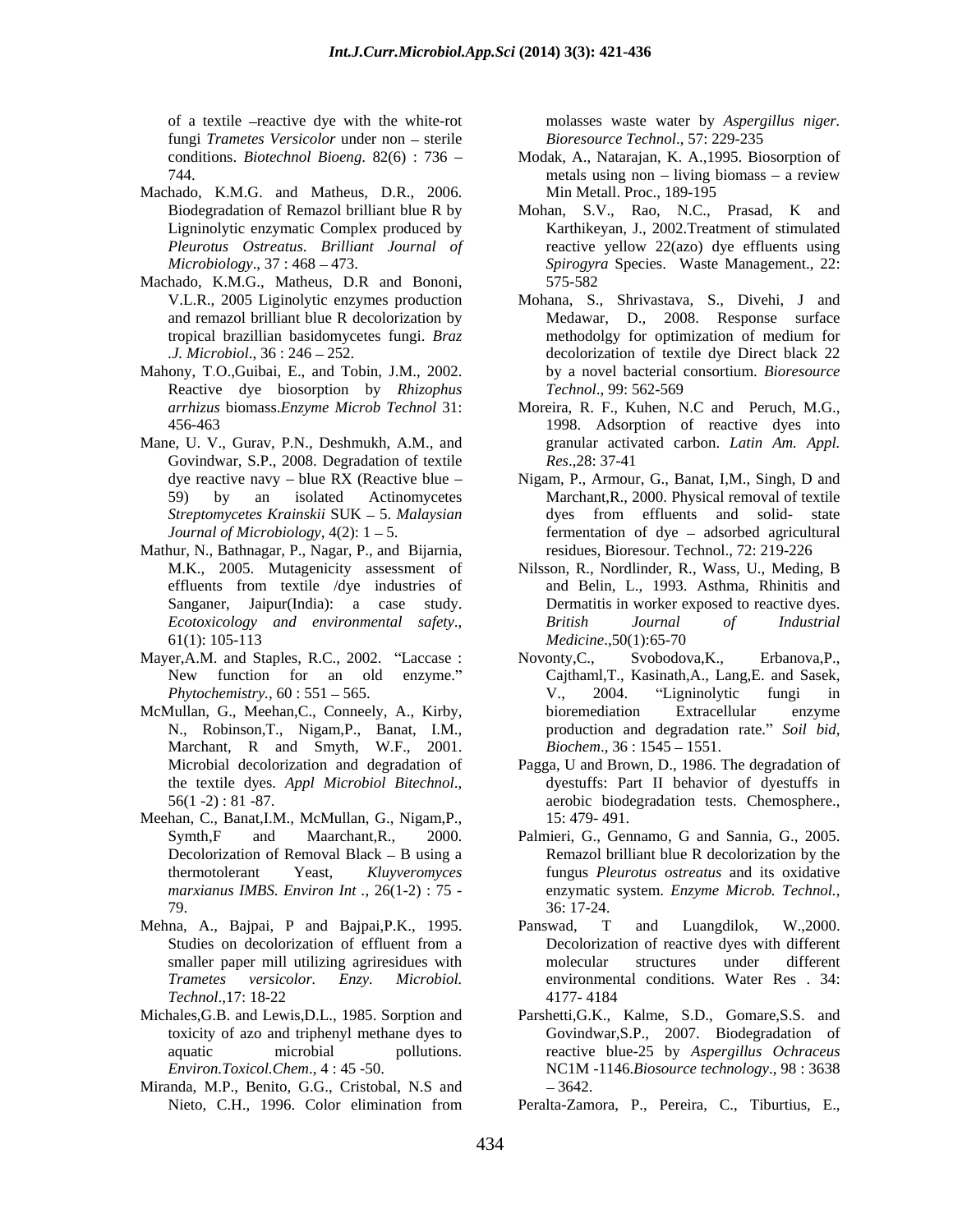of a textile -reactive dye with the white-rot fungi *Trametes Versicolor* under non sterile

- Machado, K.M.G. and Matheus, D.R., 2006. *Pleurotus Ostreatus*. *Brilliant Journal of*
- Machado, K.M.G., Matheus, D.R and Bononi,
- Mahony, T.O.,Guibai, E., and Tobin, J.M., 2002. Reactive dye biosorption by *Rhizophus*
- Mane, U. V., Gurav, P.N., Deshmukh, A.M., and Govindwar, S.P., 2008. Degradation of textile  $Res.$ , 28: 37-41
- Mathur, N., Bathnagar, P., Nagar, P., and Bijarnia,
- 
- N., Robinson,T., Nigam,P., Banat, I.M., Marchant, R and Smyth, W.F., 2001.
- Meehan, C., Banat,I.M., McMullan, G., Nigam,P., Decolorization of Removal Black  $-$  B using a
- 
- Michales,G.B. and Lewis,D.L., 1985. Sorption and Parshetti,G.K., Kalme, S.D., Gomare,S.S. and
- Miranda, M.P., Benito, G.G., Cristobal, N.S and

molasses waste water by *Aspergillus niger. Bioresource Technol*., 57: 229-235

- conditions. *Biotechnol Bioeng*. 82(6) : 736 Modak, A., Natarajan, K. A.,1995. Biosorption of 744. The metals using non – living biomass – a review metals using non  $-$  living biomass  $-$  a review Min Metall. Proc., 189-195
- Biodegradation of Remazol brilliant blue R by Mohan, S.V., Rao, N.C., Prasad, K and Ligninolytic enzymatic Complex produced by Karthikeyan, J., 2002.Treatment of stimulated *Microbiology*., 37 : 468 473. *Spirogyra* Species. Waste Management., 22: reactive yellow 22(azo) dye effluents using 575-582
- V.L.R., 2005 Liginolytic enzymes production Mohana, S., Shrivastava, S., Divehi, J and and remazol brilliant blue R decolorization by Medawar, D., 2008. Response surface tropical brazillian basidomycetes fungi. *Braz .J. Microbiol*., 36 : 246 252. decolorization of textile dye Direct black 22 methodolgy for optimization of medium for by a novel bacterial consortium. *Bioresource Technol*., 99: 562-569
- *arrhizus* biomass.*Enzyme Microb Technol* 31: Moreira, R. F., Kuhen, N.C and Peruch, M.G., 456-463 1998. Adsorption of reactive dyes into granular activated carbon. *Latin Am. Appl. Res*.,28: 37-41
- dye reactive navy blue RX (Reactive blue Nigam, P., Armour, G., Banat, I,M., Singh, D and 59) by an isolated Actinomycetes Marchant,R., 2000. Physical removal of textile *Streptomycetes Krainskii* SUK 5. *Malaysian*  dyes from effluents and solid- state *Journal of Microbiology*,  $4(2)$ : 1 – 5. **fermentation of dye** – adsorbed agricultural residues, Bioresour. Technol., 72: 219-226
- M.K., 2005. Mutagenicity assessment of Nilsson, R., Nordlinder, R., Wass, U., Meding, B effluents from textile /dye industries of and Belin, L., 1993. Asthma, Rhinitis and Sanganer, Jaipur(India): a case study. Dermatitis in worker exposed to reactive dyes. *Ecotoxicology and environmental safety*., 61(1): 105-113 *British Journal of Industrial Medicine*.,50(1):65-70
- Mayer, A.M. and Staples, R.C., 2002. "Laccase : Novonty, C., Svobodova, K., Erbanova, P., New function for an old enzyme." Cajthaml,T., Kasinath,A., Lang,E. and Sasek, *Phytochemistry.,* 60 : 551 565. McMullan, G., Meehan,C., Conneely, A., Kirby, Novonty,C., Svobodova,K., Erbanova,P., V., 2004. Ligninolytic fungi in bioremediation Extracellular enzyme production and degradation rate." Soil bid, *Biochem.*, 36 : 1545 – 1551.
	- Microbial decolorization and degradation of Pagga, U and Brown, D., 1986. The degradation of the textile dyes. *Appl Microbiol Bitechnol*., dyestuffs: Part II behavior of dyestuffs in aerobic biodegradation tests. Chemosphere., dyestuffs: Part II behavior of dyestuffs in aerobic biodegradation tests. Chemosphere., 15: 479- 491.
	- Symth,F and Maarchant,R., 2000. Palmieri, G., Gennamo, G and Sannia, G., 2005. thermotolerant Yeast, *Kluyveromyces* fungus *Pleurotus ostreatus* and its oxidative<br>marxianus IMBS. *Environ Int* ., 26(1-2) : 75 - enzymatic system. *Enzyme Microb. Technol*., **79. 36: 17-24. 36: 17-24.** Remazol brilliant blue R decolorization by the fungus *Pleurotus ostreatus* and its oxidative enzymatic system. *Enzyme Microb. Technol.*, 36: 17-24.
- Mehna, A., Bajpai, P and Bajpai, P.K., 1995. Panswad, T and Luangdilok, W.,2000. Studies on decolorization of effluent from a Decolorization of reactive dyes with different smaller paper mill utilizing agriresidues with molecular structures under different *Trametes versicolor. Enzy. Microbiol.* environmental conditions. Water Res . 34: *Technol*.,17: 18-22 Panswad, T and Luangdilok, W.,2000. Decolorization of reactive dyes with different molecular structures under different 4177- 4184
	- toxicity of azo and triphenyl methane dyes to Govindwar,S.P., 2007. Biodegradation of aquatic microbial pollutions. reactive blue-25 by *Aspergillus Ochraceus Environ.Toxicol.Chem*., 4 : 45 -50. NC1M -1146.*Biosource technology*., 98 : 3638 3642.
	- Nieto, C.H., 1996. Color elimination from Peralta-Zamora, P., Pereira, C., Tiburtius, E.,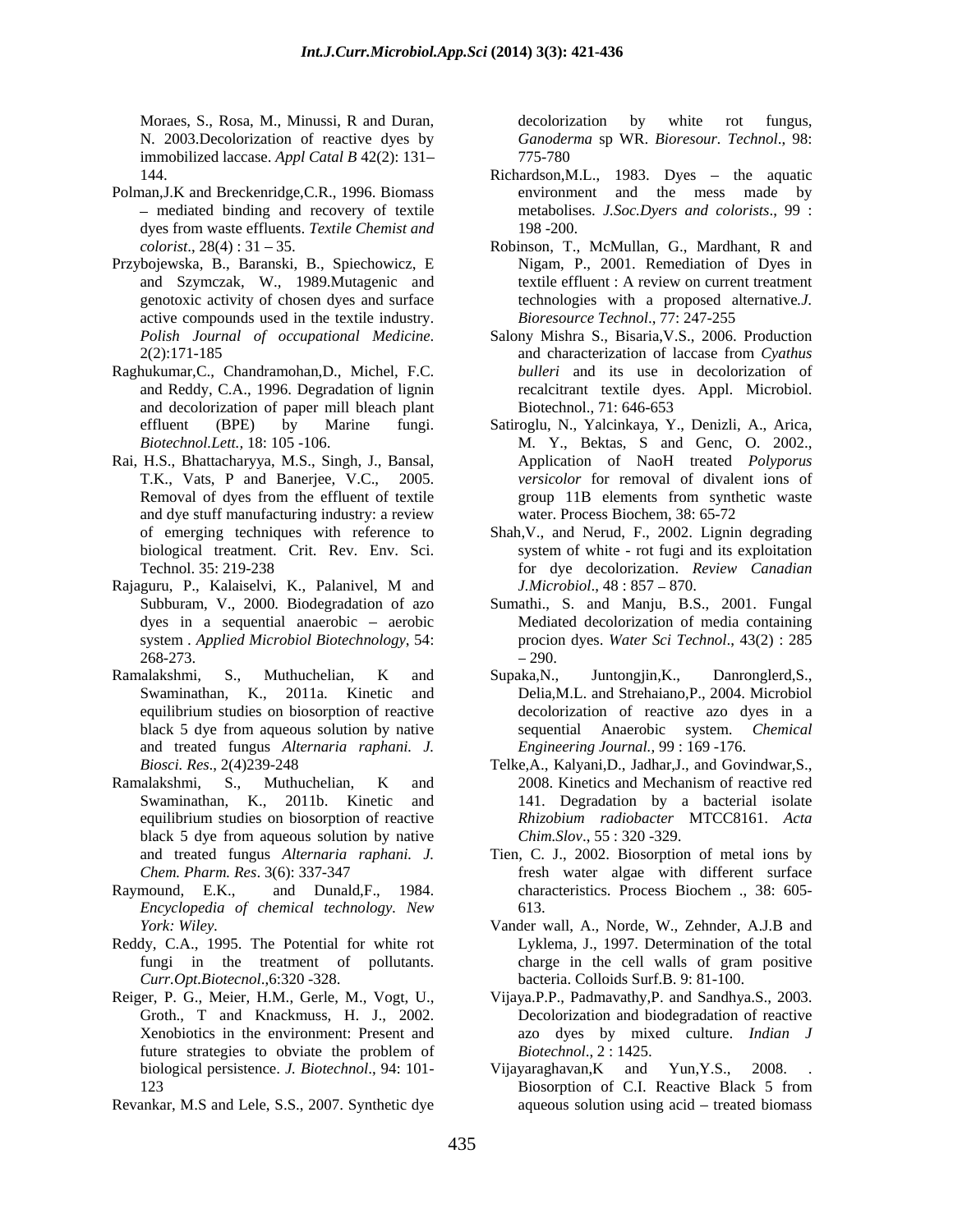Moraes, S., Rosa, M., Minussi, R and Duran, N. 2003.Decolorization of reactive dyes by *Ganoderma* sp WR. *Bioresour. Technol*., 98: immobilized laccase. *Appl Catal B* 42(2): 131

- Polman,J.K and Breckenridge,C.R., 1996. Biomass dyes from waste effluents. *Textile Chemist and* 198 -200.<br> *colorist*., 28(4): 31 – 35. Robinson, T.,
- Przybojewska, B., Baranski, B., Spiechowicz, E active compounds used in the textile industry.
- Raghukumar,C., Chandramohan,D., Michel, F.C. and decolorization of paper mill bleach plant
- and dye stuff manufacturing industry: a review
- Rajaguru, P., Kalaiselvi, K., Palanivel, M and *J.Microbiol.*, 48:857 870.
- Ramalakshmi, S., Muthuchelian, K and and treated fungus *Alternaria raphani. J.*
- Ramalakshmi, S., Muthuchelian, K and 2008. Kinetics and Mechanism of reactive red black 5 dye from aqueous solution by native
- Raymound, E.K., and Dunald, F., 1984. characteristics. Process Biochem ., 38: 605-*Encyclopedia of chemical technology. New*
- Reddy, C.A., 1995. The Potential for white rot
- biological persistence. *J. Biotechnol*., 94: 101-
- Revankar, M.S and Lele, S.S., 2007. Synthetic dye

decolorization by white rot fungus, 775-780

- 144. Richardson, M.L., 1983. Dyes the aquatic mediated binding and recovery of textile metabolises. *J.Soc.Dyers and colorists*., 99 : environment and the mess made by 198 -200.
- *colorist*., 28(4) : 31 35. Robinson, T., McMullan, G., Mardhant, R and and Szymczak, W., 1989.Mutagenic and textile effluent : A review on current treatment genotoxic activity of chosen dyes and surface technologies with a proposed alternative*.J.*  Nigam, P., 2001. Remediation of Dyes in *Bioresource Technol*., 77: 247-255
- *Polish Journal of occupational Medicine.* Salony Mishra S., Bisaria, V.S., 2006. Production  $2(2)$ :171-185 and characterization of laccase from *Cyathus* and Reddy, C.A., 1996. Degradation of lignin recalcitrant textile dyes. Appl. Microbiol. Salony Mishra S., Bisaria,V.S., 2006. Production and characterization of laccase from *Cyathus bulleri* and its use in decolorization of Biotechnol., 71: 646-653
- effluent (BPE) by Marine fungi. Satiroglu, N., Yalcinkaya, Y., Denizli, A., Arica, *Biotechnol.Lett.,* 18: 105 -106. M. Y., Bektas, S and Genc, O. 2002., Rai, H.S., Bhattacharyya, M.S., Singh, J., Bansal, Application of NaoH treated *Polyporus*  T.K., Vats, P and Banerjee, V.C., 2005. *versicolor* for removal of divalent ions of Removal of dyes from the effluent of textile **Example 2018** group 11B elements from synthetic waste group 11B elements from synthetic waste water. Process Biochem, 38: 65-72
	- of emerging techniques with reference to Shah,V., and Nerud, F., 2002. Lignin degrading biological treatment. Crit. Rev. Env. Sci. system of white - rot fugi and its exploitation Technol. 35: 219-238 for dye decolorization. *Review Canadian J.Microbiol.*,  $48:857-870$ .
	- Subburam, V., 2000. Biodegradation of azo Sumathi., S. and Manju,B.S., 2001. Fungal dyes in a sequential anaerobic – aerobic Mediated decolorization of media containing system *. Applied Microbiol Biotechnology*, 54: procion dyes. *Water Sci Technol*., 43(2): 285  $-268-273.$   $-290.$ 290.
	- Swaminathan, K., 2011a. Kinetic and Delia,M.L. and Strehaiano,P., 2004. Microbiol equilibrium studies on biosorption of reactive decolorization of reactive azo dyes in a black 5 dye from aqueous solution by native sequential Anaerobic system. Chemical Supaka,N., Juntongjin,K., Danronglerd,S., sequential Anaerobic system. *Chemical Engineering Journal.,* 99 : 169 -176.
	- *Biosci. Res*., 2(4)239-248 Telke,A., Kalyani,D., Jadhar,J., and Govindwar,S., Swaminathan, K., 2011b. Kinetic and 141. Degradation by a bacterial isolate equilibrium studies on biosorption of reactive *Rhizobium radiobacter* MTCC8161. *Acta Chim.Slov*., 55 : 320 -329.
	- and treated fungus *Alternaria raphani. J.* Tien, C. J., 2002. Biosorption of metal ions by *Chem. Pharm. Res*. 3(6): 337-347 fresh water algae with different surface characteristics. Process Biochem ., 38: 605- 613.
	- *York: Wiley.* Vander wall, A., Norde, W., Zehnder, A.J.B and fungi in the treatment of pollutants. *Curr.Opt.Biotecnol*.,6:320 -328. bacteria. Colloids Surf.B. 9: 81-100. Lyklema, J., 1997. Determination of the total charge in the cell walls of gram positive
- Reiger, P. G., Meier, H.M., Gerle, M., Vogt, U., Vijaya.P.P., Padmavathy,P. and Sandhya.S., 2003. Groth., T and Knackmuss, H. J., 2002. Decolorization and biodegradation of reactive Xenobiotics in the environment: Present and azo dyes by mixed culture. *Indian J* future strategies to obviate the problem of Biotechnol., 2:1425. *Biotechnol*., 2 : 1425.
	- 123 Biosorption of C.I. Reactive Black 5 from Vijayaraghavan,K and Yun,Y.S., 2008. . aqueous solution using  $acid$  – treated biomass